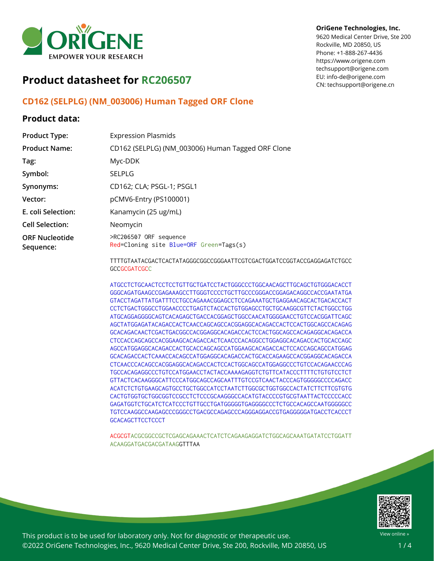

# **Product datasheet for RC206507**

### **CD162 (SELPLG) (NM\_003006) Human Tagged ORF Clone**

#### **Product data:**

| <b>Product Type:</b>               | <b>Expression Plasmids</b>                                        |
|------------------------------------|-------------------------------------------------------------------|
| <b>Product Name:</b>               | CD162 (SELPLG) (NM_003006) Human Tagged ORF Clone                 |
| Tag:                               | Myc-DDK                                                           |
| Symbol:                            | <b>SELPLG</b>                                                     |
| Synonyms:                          | CD162; CLA; PSGL-1; PSGL1                                         |
| Vector:                            | pCMV6-Entry (PS100001)                                            |
| E. coli Selection:                 | Kanamycin (25 ug/mL)                                              |
| <b>Cell Selection:</b>             | Neomycin                                                          |
| <b>ORF Nucleotide</b><br>Sequence: | >RC206507 ORF sequence<br>Red=Cloning site Blue=ORF Green=Tags(s) |
|                                    |                                                                   |

**OriGene Technologies, Inc.**

9620 Medical Center Drive, Ste 200 Rockville, MD 20850, US Phone: +1-888-267-4436 https://www.origene.com techsupport@origene.com EU: info-de@origene.com CN: techsupport@origene.cn

TTTTGTAATACGACTCACTATAGGGCGGCCGGGAATTCGTCGACTGGATCCGGTACCGAGGAGATCTGCC **GCCGCGATCGCC** 

ATGCCTCTGCAACTCCTCCTGTTGCTGATCCTACTGGGCCCTGGCAACAGCTTGCAGCTGTGGGACACCT GGGCAGATGAAGCCGAGAAAGCCTTGGGTCCCCTGCTTGCCCGGGACCGGAGACAGGCCACCGAATATGA GTACCTAGATTATGATTTCCTGCCAGAAACGGAGCCTCCAGAAATGCTGAGGAACAGCACTGACACCACT CCTCTGACTGGGCCTGGAACCCCTGAGTCTACCACTGTGGAGCCTGCTGCAAGGCGTTCTACTGGCCTGG ATGCAGGAGGGGCAGTCACAGAGCTGACCACGGAGCTGGCCAACATGGGGAACCTGTCCACGGATTCAGC AGCTATGGAGATACAGACCACTCAACCAGCAGCCACGGAGGCACAGACCACTCCACTGGCAGCCACAGAG GCACAGACAACTCGACTGACGGCCACGGAGGCACAGACCACTCCACTGGCAGCCACAGAGGCACAGACCA CTCCACCAGCAGCCACGGAAGCACAGACCACTCAACCCACAGGCCTGGAGGCACAGACCACTGCACCAGC AGCCATGGAGGCACAGACCACTGCACCAGCAGCCATGGAAGCACAGACCACTCCACCAGCAGCCATGGAG GCACAGACCACTCAAACCACAGCCATGGAGGCACAGACCACTGCACCAGAAGCCACGGAGGCACAGACCA CTCAACCCACAGCCACGGAGGCACAGACCACTCCACTGGCAGCCATGGAGGCCCTGTCCACAGAACCCAG TGCCACAGAGGCCCTGTCCATGGAACCTACTACCAAAAGAGGTCTGTTCATACCCTTTTCTGTGTCCTCT GTTACTCACAAGGGCATTCCCATGGCAGCCAGCAATTTGTCCGTCAACTACCCAGTGGGGGCCCCAGACC ACATCTCTGTGAAGCAGTGCCTGCTGGCCATCCTAATCTTGGCGCTGGTGGCCACTATCTTCTTCGTGTG CACTGTGGTGCTGGCGGTCCGCCTCTCCCGCAAGGGCCACATGTACCCCGTGCGTAATTACTCCCCCACC GAGATGGTCTGCATCTCATCCCTGTTGCCTGATGGGGGTGAGGGGCCCTCTGCCACAGCCAATGGGGGCC TGTCCAAGGCCAAGAGCCCGGGCCTGACGCCAGAGCCCAGGGAGGACCGTGAGGGGGATGACCTCACCCT **GCACAGCTTCCTCCCT** 

ACGCGTACGCGGCCGCTCGAGCAGAAACTCATCTCAGAAGAGGATCTGGCAGCAAATGATATCCTGGATT ACAAGGATGACGACGATAAGGTTTAA



View online »

This product is to be used for laboratory only. Not for diagnostic or therapeutic use. ©2022 OriGene Technologies, Inc., 9620 Medical Center Drive, Ste 200, Rockville, MD 20850, US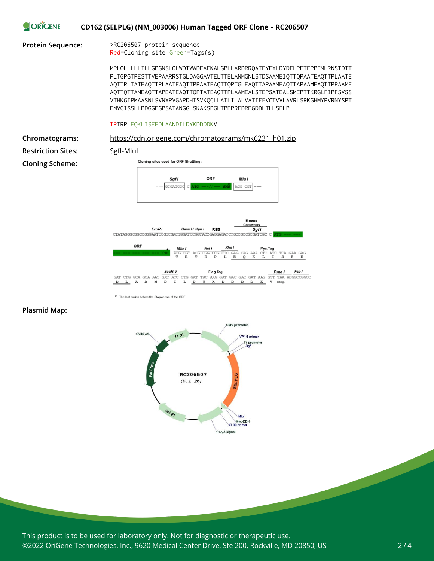

EcoR V Flag.Tag Fse I  $\begin{array}{lll} & \text{EcoR\,V} & \text{Flag}\\ \text{GAT\,GCA\,GCA\,AAT\,GAT\,ATC\,CTG\,GAT\,TAC\,AAG\,GAT\,GAC\,GAT\,AAG\,GAT\,AAG\,GAT\,AAG\,GAT\,AAG\,GAT\,AAG\,GAT\,AAG\,GAT\,AAG\,GAT\,AAG\,GAT\,AAG\,GAT\,AAG\,GAT\,AAG\,GAT\,AAG\,GAT\,AAG\,GAT\,AAG\,GAT\,AAG\,GAT\,AAG\,GAT\,AAG\,GAT\,AAG\,$  $L$  A A  $\overline{D}$  $\mathbb N$  $\mathbf D$  $\mathbf I$ L  $D$  $\mathbf{Y}$  $\mathbf{R}$ D D  $\,$  D  $\mathbb D$ K V stop

\* The last codon before the Stop codon of the ORF

#### **Plasmid Map:**



This product is to be used for laboratory only. Not for diagnostic or therapeutic use. ©2022 OriGene Technologies, Inc., 9620 Medical Center Drive, Ste 200, Rockville, MD 20850, US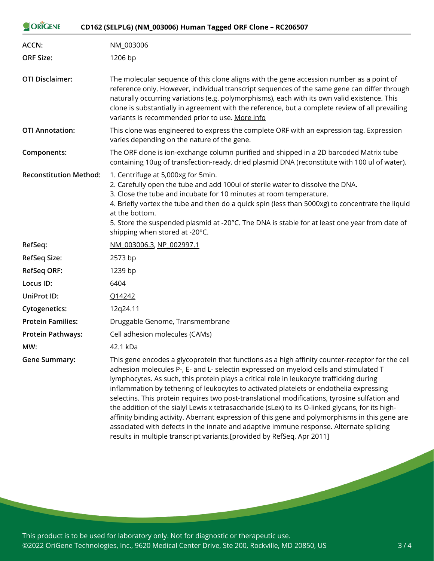| ORIGENE                       | CD162 (SELPLG) (NM_003006) Human Tagged ORF Clone - RC206507                                                                                                                                                                                                                                                                                                                                                                                                                                                                                                                                                                                                                                                                                                                                                                                                |
|-------------------------------|-------------------------------------------------------------------------------------------------------------------------------------------------------------------------------------------------------------------------------------------------------------------------------------------------------------------------------------------------------------------------------------------------------------------------------------------------------------------------------------------------------------------------------------------------------------------------------------------------------------------------------------------------------------------------------------------------------------------------------------------------------------------------------------------------------------------------------------------------------------|
| <b>ACCN:</b>                  | NM_003006                                                                                                                                                                                                                                                                                                                                                                                                                                                                                                                                                                                                                                                                                                                                                                                                                                                   |
| <b>ORF Size:</b>              | 1206 bp                                                                                                                                                                                                                                                                                                                                                                                                                                                                                                                                                                                                                                                                                                                                                                                                                                                     |
| <b>OTI Disclaimer:</b>        | The molecular sequence of this clone aligns with the gene accession number as a point of<br>reference only. However, individual transcript sequences of the same gene can differ through<br>naturally occurring variations (e.g. polymorphisms), each with its own valid existence. This<br>clone is substantially in agreement with the reference, but a complete review of all prevailing<br>variants is recommended prior to use. More info                                                                                                                                                                                                                                                                                                                                                                                                              |
| <b>OTI Annotation:</b>        | This clone was engineered to express the complete ORF with an expression tag. Expression<br>varies depending on the nature of the gene.                                                                                                                                                                                                                                                                                                                                                                                                                                                                                                                                                                                                                                                                                                                     |
| Components:                   | The ORF clone is ion-exchange column purified and shipped in a 2D barcoded Matrix tube<br>containing 10ug of transfection-ready, dried plasmid DNA (reconstitute with 100 ul of water).                                                                                                                                                                                                                                                                                                                                                                                                                                                                                                                                                                                                                                                                     |
| <b>Reconstitution Method:</b> | 1. Centrifuge at 5,000xg for 5min.<br>2. Carefully open the tube and add 100ul of sterile water to dissolve the DNA.<br>3. Close the tube and incubate for 10 minutes at room temperature.<br>4. Briefly vortex the tube and then do a quick spin (less than 5000xg) to concentrate the liquid<br>at the bottom.<br>5. Store the suspended plasmid at -20°C. The DNA is stable for at least one year from date of<br>shipping when stored at -20°C.                                                                                                                                                                                                                                                                                                                                                                                                         |
| RefSeq:                       | NM 003006.3, NP 002997.1                                                                                                                                                                                                                                                                                                                                                                                                                                                                                                                                                                                                                                                                                                                                                                                                                                    |
| <b>RefSeq Size:</b>           | 2573 bp                                                                                                                                                                                                                                                                                                                                                                                                                                                                                                                                                                                                                                                                                                                                                                                                                                                     |
| <b>RefSeq ORF:</b>            | 1239 bp                                                                                                                                                                                                                                                                                                                                                                                                                                                                                                                                                                                                                                                                                                                                                                                                                                                     |
| Locus ID:                     | 6404                                                                                                                                                                                                                                                                                                                                                                                                                                                                                                                                                                                                                                                                                                                                                                                                                                                        |
| <b>UniProt ID:</b>            | Q14242                                                                                                                                                                                                                                                                                                                                                                                                                                                                                                                                                                                                                                                                                                                                                                                                                                                      |
| <b>Cytogenetics:</b>          | 12q24.11                                                                                                                                                                                                                                                                                                                                                                                                                                                                                                                                                                                                                                                                                                                                                                                                                                                    |
| <b>Protein Families:</b>      | Druggable Genome, Transmembrane                                                                                                                                                                                                                                                                                                                                                                                                                                                                                                                                                                                                                                                                                                                                                                                                                             |
| <b>Protein Pathways:</b>      | Cell adhesion molecules (CAMs)                                                                                                                                                                                                                                                                                                                                                                                                                                                                                                                                                                                                                                                                                                                                                                                                                              |
| MW:                           | 42.1 kDa                                                                                                                                                                                                                                                                                                                                                                                                                                                                                                                                                                                                                                                                                                                                                                                                                                                    |
| <b>Gene Summary:</b>          | This gene encodes a glycoprotein that functions as a high affinity counter-receptor for the cell<br>adhesion molecules P-, E- and L- selectin expressed on myeloid cells and stimulated T<br>lymphocytes. As such, this protein plays a critical role in leukocyte trafficking during<br>inflammation by tethering of leukocytes to activated platelets or endothelia expressing<br>selectins. This protein requires two post-translational modifications, tyrosine sulfation and<br>the addition of the sialyl Lewis x tetrasaccharide (sLex) to its O-linked glycans, for its high-<br>affinity binding activity. Aberrant expression of this gene and polymorphisms in this gene are<br>associated with defects in the innate and adaptive immune response. Alternate splicing<br>results in multiple transcript variants.[provided by RefSeq, Apr 2011] |

This product is to be used for laboratory only. Not for diagnostic or therapeutic use. ©2022 OriGene Technologies, Inc., 9620 Medical Center Drive, Ste 200, Rockville, MD 20850, US